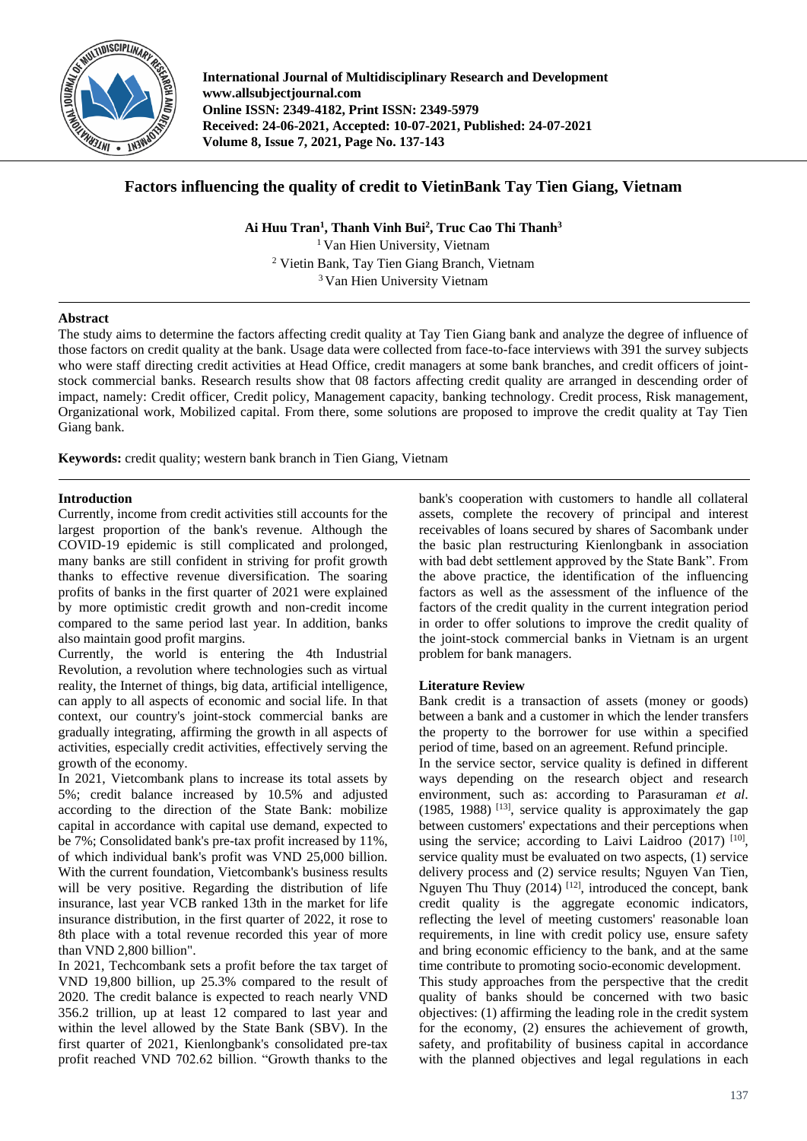

**International Journal of Multidisciplinary Research and Development www.allsubjectjournal.com Online ISSN: 2349-4182, Print ISSN: 2349-5979 Received: 24-06-2021, Accepted: 10-07-2021, Published: 24-07-2021 Volume 8, Issue 7, 2021, Page No. 137-143**

# **Factors influencing the quality of credit to VietinBank Tay Tien Giang, Vietnam**

**Ai Huu Tran<sup>1</sup> , Thanh Vinh Bui<sup>2</sup> , Truc Cao Thi Thanh<sup>3</sup>**

<sup>1</sup> Van Hien University, Vietnam <sup>2</sup> Vietin Bank, Tay Tien Giang Branch, Vietnam <sup>3</sup> Van Hien University Vietnam

# **Abstract**

The study aims to determine the factors affecting credit quality at Tay Tien Giang bank and analyze the degree of influence of those factors on credit quality at the bank. Usage data were collected from face-to-face interviews with 391 the survey subjects who were staff directing credit activities at Head Office, credit managers at some bank branches, and credit officers of jointstock commercial banks. Research results show that 08 factors affecting credit quality are arranged in descending order of impact, namely: Credit officer, Credit policy, Management capacity, banking technology. Credit process, Risk management, Organizational work, Mobilized capital. From there, some solutions are proposed to improve the credit quality at Tay Tien Giang bank.

**Keywords:** credit quality; western bank branch in Tien Giang, Vietnam

# **Introduction**

Currently, income from credit activities still accounts for the largest proportion of the bank's revenue. Although the COVID-19 epidemic is still complicated and prolonged, many banks are still confident in striving for profit growth thanks to effective revenue diversification. The soaring profits of banks in the first quarter of 2021 were explained by more optimistic credit growth and non-credit income compared to the same period last year. In addition, banks also maintain good profit margins.

Currently, the world is entering the 4th Industrial Revolution, a revolution where technologies such as virtual reality, the Internet of things, big data, artificial intelligence, can apply to all aspects of economic and social life. In that context, our country's joint-stock commercial banks are gradually integrating, affirming the growth in all aspects of activities, especially credit activities, effectively serving the growth of the economy.

In 2021, Vietcombank plans to increase its total assets by 5%; credit balance increased by 10.5% and adjusted according to the direction of the State Bank: mobilize capital in accordance with capital use demand, expected to be 7%; Consolidated bank's pre-tax profit increased by 11%, of which individual bank's profit was VND 25,000 billion. With the current foundation, Vietcombank's business results will be very positive. Regarding the distribution of life insurance, last year VCB ranked 13th in the market for life insurance distribution, in the first quarter of 2022, it rose to 8th place with a total revenue recorded this year of more than VND 2,800 billion".

In 2021, Techcombank sets a profit before the tax target of VND 19,800 billion, up 25.3% compared to the result of 2020. The credit balance is expected to reach nearly VND 356.2 trillion, up at least 12 compared to last year and within the level allowed by the State Bank (SBV). In the first quarter of 2021, Kienlongbank's consolidated pre-tax profit reached VND 702.62 billion. "Growth thanks to the bank's cooperation with customers to handle all collateral assets, complete the recovery of principal and interest receivables of loans secured by shares of Sacombank under the basic plan restructuring Kienlongbank in association with bad debt settlement approved by the State Bank". From the above practice, the identification of the influencing factors as well as the assessment of the influence of the factors of the credit quality in the current integration period in order to offer solutions to improve the credit quality of the joint-stock commercial banks in Vietnam is an urgent problem for bank managers.

# **Literature Review**

Bank credit is a transaction of assets (money or goods) between a bank and a customer in which the lender transfers the property to the borrower for use within a specified period of time, based on an agreement. Refund principle.

In the service sector, service quality is defined in different ways depending on the research object and research environment, such as: according to Parasuraman *et al*.  $(1985, 1988)$ <sup>[13]</sup>, service quality is approximately the gap between customers' expectations and their perceptions when using the service; according to Laivi Laidroo (2017) [10], service quality must be evaluated on two aspects, (1) service delivery process and (2) service results; Nguyen Van Tien, Nguyen Thu Thuy  $(2014)$  <sup>[12]</sup>, introduced the concept, bank credit quality is the aggregate economic indicators, reflecting the level of meeting customers' reasonable loan requirements, in line with credit policy use, ensure safety and bring economic efficiency to the bank, and at the same time contribute to promoting socio-economic development. This study approaches from the perspective that the credit quality of banks should be concerned with two basic objectives: (1) affirming the leading role in the credit system for the economy, (2) ensures the achievement of growth, safety, and profitability of business capital in accordance with the planned objectives and legal regulations in each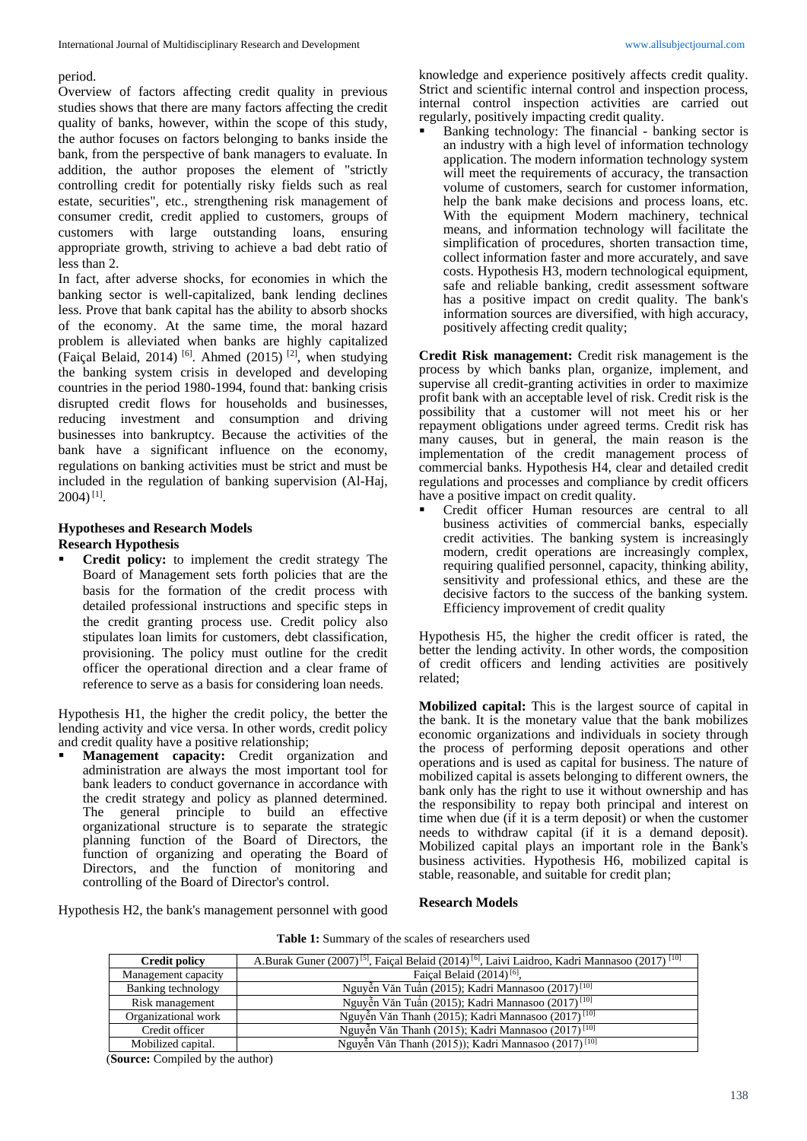## period.

Overview of factors affecting credit quality in previous studies shows that there are many factors affecting the credit quality of banks, however, within the scope of this study, the author focuses on factors belonging to banks inside the bank, from the perspective of bank managers to evaluate. In addition, the author proposes the element of "strictly controlling credit for potentially risky fields such as real estate, securities", etc., strengthening risk management of consumer credit, credit applied to customers, groups of customers with large outstanding loans, ensuring appropriate growth, striving to achieve a bad debt ratio of less than 2.

In fact, after adverse shocks, for economies in which the banking sector is well-capitalized, bank lending declines less. Prove that bank capital has the ability to absorb shocks of the economy. At the same time, the moral hazard problem is alleviated when banks are highly capitalized (Faiçal Belaid, 2014)<sup>[6]</sup>. Ahmed  $(2015)$ <sup>[2]</sup>, when studying the banking system crisis in developed and developing countries in the period 1980-1994, found that: banking crisis disrupted credit flows for households and businesses, reducing investment and consumption and driving businesses into bankruptcy. Because the activities of the bank have a significant influence on the economy, regulations on banking activities must be strict and must be included in the regulation of banking supervision (Al-Haj,  $2004)$ <sup>[1]</sup>.

### **Hypotheses and Research Models Research Hypothesis**

 **Credit policy:** to implement the credit strategy The Board of Management sets forth policies that are the basis for the formation of the credit process with detailed professional instructions and specific steps in the credit granting process use. Credit policy also stipulates loan limits for customers, debt classification, provisioning. The policy must outline for the credit officer the operational direction and a clear frame of reference to serve as a basis for considering loan needs.

Hypothesis H1, the higher the credit policy, the better the lending activity and vice versa. In other words, credit policy and credit quality have a positive relationship;

 **Management capacity:** Credit organization and administration are always the most important tool for bank leaders to conduct governance in accordance with the credit strategy and policy as planned determined. The general principle to build an effective organizational structure is to separate the strategic planning function of the Board of Directors, the function of organizing and operating the Board of Directors, and the function of monitoring and controlling of the Board of Director's control.

knowledge and experience positively affects credit quality. Strict and scientific internal control and inspection process, internal control inspection activities are carried out regularly, positively impacting credit quality.

 Banking technology: The financial - banking sector is an industry with a high level of information technology application. The modern information technology system will meet the requirements of accuracy, the transaction volume of customers, search for customer information, help the bank make decisions and process loans, etc. With the equipment Modern machinery, technical means, and information technology will facilitate the simplification of procedures, shorten transaction time, collect information faster and more accurately, and save costs. Hypothesis H3, modern technological equipment, safe and reliable banking, credit assessment software has a positive impact on credit quality. The bank's information sources are diversified, with high accuracy, positively affecting credit quality;

**Credit Risk management:** Credit risk management is the process by which banks plan, organize, implement, and supervise all credit-granting activities in order to maximize profit bank with an acceptable level of risk. Credit risk is the possibility that a customer will not meet his or her repayment obligations under agreed terms. Credit risk has many causes, but in general, the main reason is the implementation of the credit management process of commercial banks. Hypothesis H4, clear and detailed credit regulations and processes and compliance by credit officers have a positive impact on credit quality.

 Credit officer Human resources are central to all business activities of commercial banks, especially credit activities. The banking system is increasingly modern, credit operations are increasingly complex, requiring qualified personnel, capacity, thinking ability, sensitivity and professional ethics, and these are the decisive factors to the success of the banking system. Efficiency improvement of credit quality

Hypothesis H5, the higher the credit officer is rated, the better the lending activity. In other words, the composition of credit officers and lending activities are positively related;

**Mobilized capital:** This is the largest source of capital in the bank. It is the monetary value that the bank mobilizes economic organizations and individuals in society through the process of performing deposit operations and other operations and is used as capital for business. The nature of mobilized capital is assets belonging to different owners, the bank only has the right to use it without ownership and has the responsibility to repay both principal and interest on time when due (if it is a term deposit) or when the customer needs to withdraw capital (if it is a demand deposit). Mobilized capital plays an important role in the Bank's business activities. Hypothesis H6, mobilized capital is stable, reasonable, and suitable for credit plan;

Hypothesis H2, the bank's management personnel with good

## **Research Models**

|  |  | <b>Table 1:</b> Summary of the scales of researchers used |
|--|--|-----------------------------------------------------------|
|--|--|-----------------------------------------------------------|

| <b>Credit policy</b> | A.Burak Guner (2007) <sup>[5]</sup> , Faiçal Belaid (2014) <sup>[6]</sup> , Laivi Laidroo, Kadri Mannasoo (2017) <sup>[10]</sup> |
|----------------------|----------------------------------------------------------------------------------------------------------------------------------|
| Management capacity  | Faical Belaid $(2014)$ <sup>[6]</sup> ,                                                                                          |
| Banking technology   | Nguyễn Văn Tuấn (2015); Kadri Mannasoo (2017) <sup>[10]</sup>                                                                    |
| Risk management      | Nguyễn Văn Tuấn (2015); Kadri Mannasoo (2017) <sup>[10]</sup>                                                                    |
| Organizational work  | Nguyễn Văn Thanh (2015); Kadri Mannasoo (2017) <sup>[10]</sup>                                                                   |
| Credit officer       | Nguyễn Văn Thanh (2015); Kadri Mannasoo (2017) <sup>[10]</sup>                                                                   |
| Mobilized capital.   | Nguyễn Văn Thanh (2015)); Kadri Mannasoo (2017) <sup>[10]</sup>                                                                  |

(**Source:** Compiled by the author)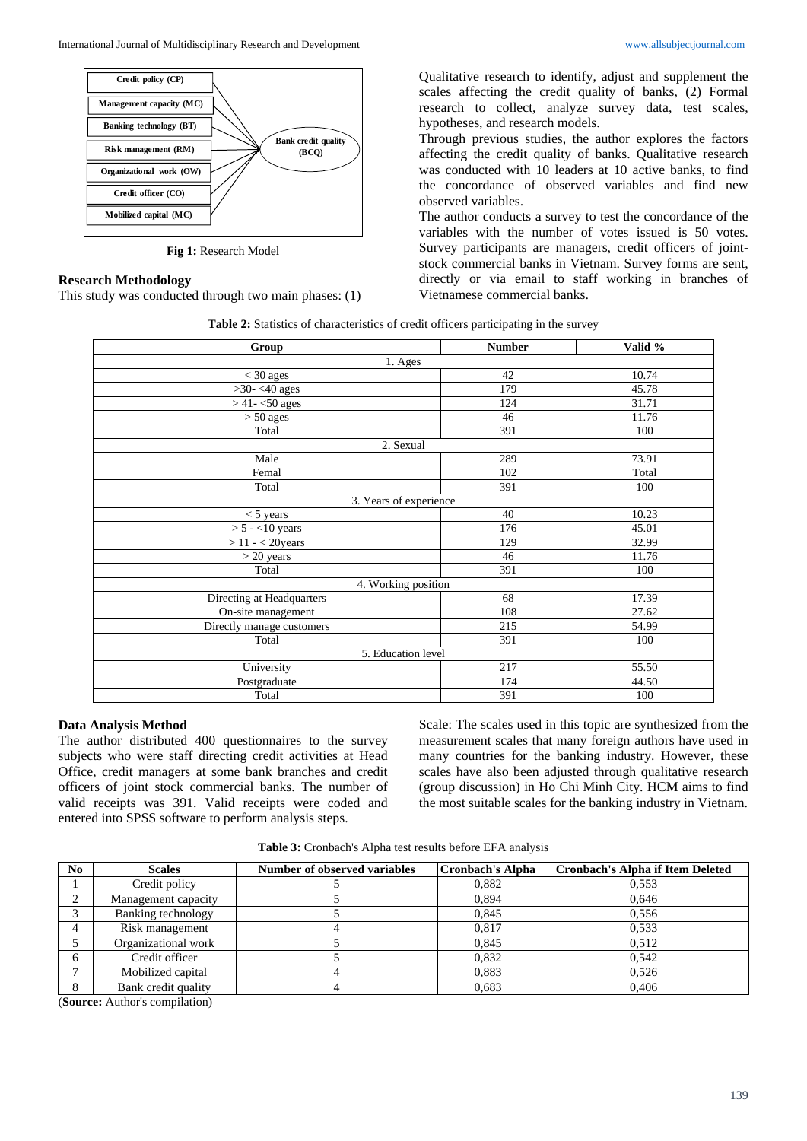

**Fig 1:** Research Model

## **Research Methodology**

**Mobilized capital (MC)**

This study was conducted through two main phases: (1)

Qualitative research to identify, adjust and supplement the scales affecting the credit quality of banks, (2) Formal research to collect, analyze survey data, test scales, hypotheses, and research models.

Through previous studies, the author explores the factors affecting the credit quality of banks. Qualitative research was conducted with 10 leaders at 10 active banks, to find the concordance of observed variables and find new observed variables.

The author conducts a survey to test the concordance of the variables with the number of votes issued is 50 votes. Survey participants are managers, credit officers of jointstock commercial banks in Vietnam. Survey forms are sent, directly or via email to staff working in branches of Vietnamese commercial banks.

| Table 2: Statistics of characteristics of credit officers participating in the survey |  |  |
|---------------------------------------------------------------------------------------|--|--|
|---------------------------------------------------------------------------------------|--|--|

| Group                            | <b>Number</b>          | Valid % |
|----------------------------------|------------------------|---------|
|                                  | 1. Ages                |         |
| $<$ 30 ages                      | 42                     | 10.74   |
| $>30-<40$ ages                   | 179                    | 45.78   |
| $>$ 41 - <50 ages                | 124                    | 31.71   |
| $\overline{>}50$ ages            | 46                     | 11.76   |
| Total                            | 391                    | 100     |
|                                  | 2. Sexual              |         |
| Male                             | 289                    | 73.91   |
| Femal                            | 102                    | Total   |
| Total                            | 391                    | 100     |
|                                  | 3. Years of experience |         |
| $<$ 5 years                      | 40                     | 10.23   |
| $\overline{>5}$ - <10 years      | 176                    | 45.01   |
| $> 11 - < 20$ years              | 129                    | 32.99   |
| $>$ 20 years                     | 46                     | 11.76   |
| Total                            | 391                    | 100     |
|                                  | 4. Working position    |         |
| Directing at Headquarters        | 68                     | 17.39   |
| $\overline{On}$ -site management | 108                    | 27.62   |
| Directly manage customers        | 215                    | 54.99   |
| Total                            | 391                    | 100     |
|                                  | 5. Education level     |         |
| University                       | 217                    | 55.50   |
| Postgraduate                     | 174                    | 44.50   |
| Total                            | 391                    | 100     |

## **Data Analysis Method**

The author distributed 400 questionnaires to the survey subjects who were staff directing credit activities at Head Office, credit managers at some bank branches and credit officers of joint stock commercial banks. The number of valid receipts was 391. Valid receipts were coded and entered into SPSS software to perform analysis steps.

Scale: The scales used in this topic are synthesized from the measurement scales that many foreign authors have used in many countries for the banking industry. However, these scales have also been adjusted through qualitative research (group discussion) in Ho Chi Minh City. HCM aims to find the most suitable scales for the banking industry in Vietnam.

**Table 3:** Cronbach's Alpha test results before EFA analysis

| N <sub>0</sub> | <b>Scales</b>       | Number of observed variables | <b>Cronbach's Alpha</b> | <b>Cronbach's Alpha if Item Deleted</b> |
|----------------|---------------------|------------------------------|-------------------------|-----------------------------------------|
|                | Credit policy       |                              | 0.882                   | 0.553                                   |
| ◠              | Management capacity |                              | 0.894                   | 0.646                                   |
| $\sim$         | Banking technology  |                              | 0.845                   | 0.556                                   |
|                | Risk management     |                              | 0.817                   | 0.533                                   |
|                | Organizational work |                              | 0.845                   | 0.512                                   |
| 6              | Credit officer      |                              | 0.832                   | 0.542                                   |
|                | Mobilized capital   |                              | 0.883                   | 0.526                                   |
| 8              | Bank credit quality |                              | 0.683                   | 0.406                                   |

(**Source:** Author's compilation)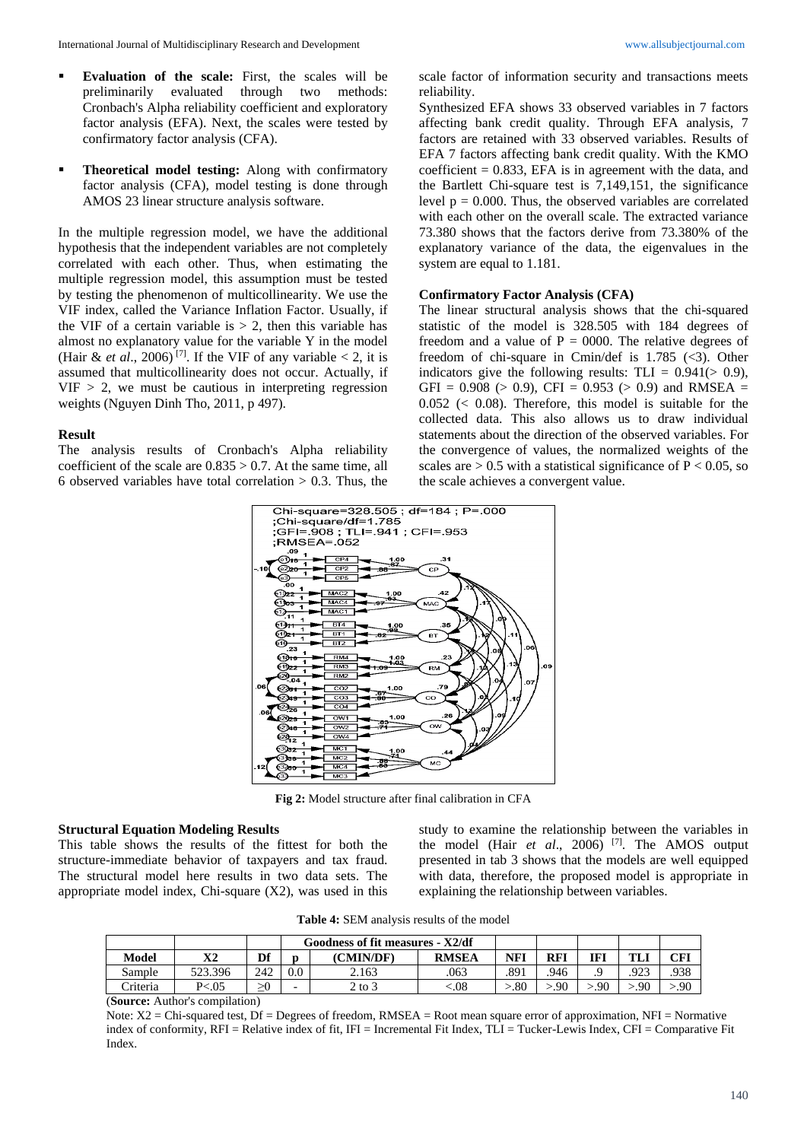- **Evaluation of the scale:** First, the scales will be preliminarily evaluated through two methods: Cronbach's Alpha reliability coefficient and exploratory factor analysis (EFA). Next, the scales were tested by confirmatory factor analysis (CFA).
- **Theoretical model testing:** Along with confirmatory factor analysis (CFA), model testing is done through AMOS 23 linear structure analysis software.

In the multiple regression model, we have the additional hypothesis that the independent variables are not completely correlated with each other. Thus, when estimating the multiple regression model, this assumption must be tested by testing the phenomenon of multicollinearity. We use the VIF index, called the Variance Inflation Factor. Usually, if the VIF of a certain variable is  $> 2$ , then this variable has almost no explanatory value for the variable Y in the model (Hair & *et al.*, 2006)<sup>[7]</sup>. If the VIF of any variable < 2, it is assumed that multicollinearity does not occur. Actually, if  $VIF > 2$ , we must be cautious in interpreting regression weights (Nguyen Dinh Tho, 2011, p 497).

#### **Result**

The analysis results of Cronbach's Alpha reliability coefficient of the scale are  $0.835 > 0.7$ . At the same time, all 6 observed variables have total correlation  $> 0.3$ . Thus, the

scale factor of information security and transactions meets reliability.

Synthesized EFA shows 33 observed variables in 7 factors affecting bank credit quality. Through EFA analysis, 7 factors are retained with 33 observed variables. Results of EFA 7 factors affecting bank credit quality. With the KMO coefficient  $= 0.833$ , EFA is in agreement with the data, and the Bartlett Chi-square test is 7,149,151, the significance level  $p = 0.000$ . Thus, the observed variables are correlated with each other on the overall scale. The extracted variance 73.380 shows that the factors derive from 73.380% of the explanatory variance of the data, the eigenvalues in the system are equal to 1.181.

#### **Confirmatory Factor Analysis (CFA)**

The linear structural analysis shows that the chi-squared statistic of the model is 328.505 with 184 degrees of freedom and a value of  $P = 0000$ . The relative degrees of freedom of chi-square in Cmin/def is  $1.785$  (<3). Other indicators give the following results:  $TLI = 0.941(> 0.9)$ , GFI =  $0.908$  ( $> 0.9$ ), CFI =  $0.953$  ( $> 0.9$ ) and RMSEA = 0.052 (< 0.08). Therefore, this model is suitable for the collected data. This also allows us to draw individual statements about the direction of the observed variables. For the convergence of values, the normalized weights of the scales are  $> 0.5$  with a statistical significance of  $P < 0.05$ , so the scale achieves a convergent value.



**Fig 2:** Model structure after final calibration in CFA

#### **Structural Equation Modeling Results**

This table shows the results of the fittest for both the structure-immediate behavior of taxpayers and tax fraud. The structural model here results in two data sets. The appropriate model index, Chi-square (X2), was used in this

study to examine the relationship between the variables in the model (Hair *et al*., 2006) [7] . The AMOS output presented in tab 3 shows that the models are well equipped with data, therefore, the proposed model is appropriate in explaining the relationship between variables.

**Table 4:** SEM analysis results of the model

|                 |          |     |                  | Goodness of fit measures - X2/df |              |            |      |     |      |      |
|-----------------|----------|-----|------------------|----------------------------------|--------------|------------|------|-----|------|------|
| Model           | v٥<br>Λ4 | Df  |                  | (CMIN/DF)                        | <b>RMSEA</b> | <b>NFI</b> | RFI  | IFI | m    | CFI  |
| Sample          | 523.396  | 242 | 0.0 <sub>1</sub> | 2.163                            | 063          | .891       | 946  |     | .923 | .938 |
| <b>Triteria</b> | P < 0.05 | >0  | -                | $2$ to $3$                       | &0.5         | .80        | > 90 | .90 | .90  | >90  |

(**Source:** Author's compilation)

Note:  $X2 =$  Chi-squared test, Df = Degrees of freedom, RMSEA = Root mean square error of approximation, NFI = Normative index of conformity, RFI = Relative index of fit, IFI = Incremental Fit Index, TLI = Tucker-Lewis Index, CFI = Comparative Fit Index.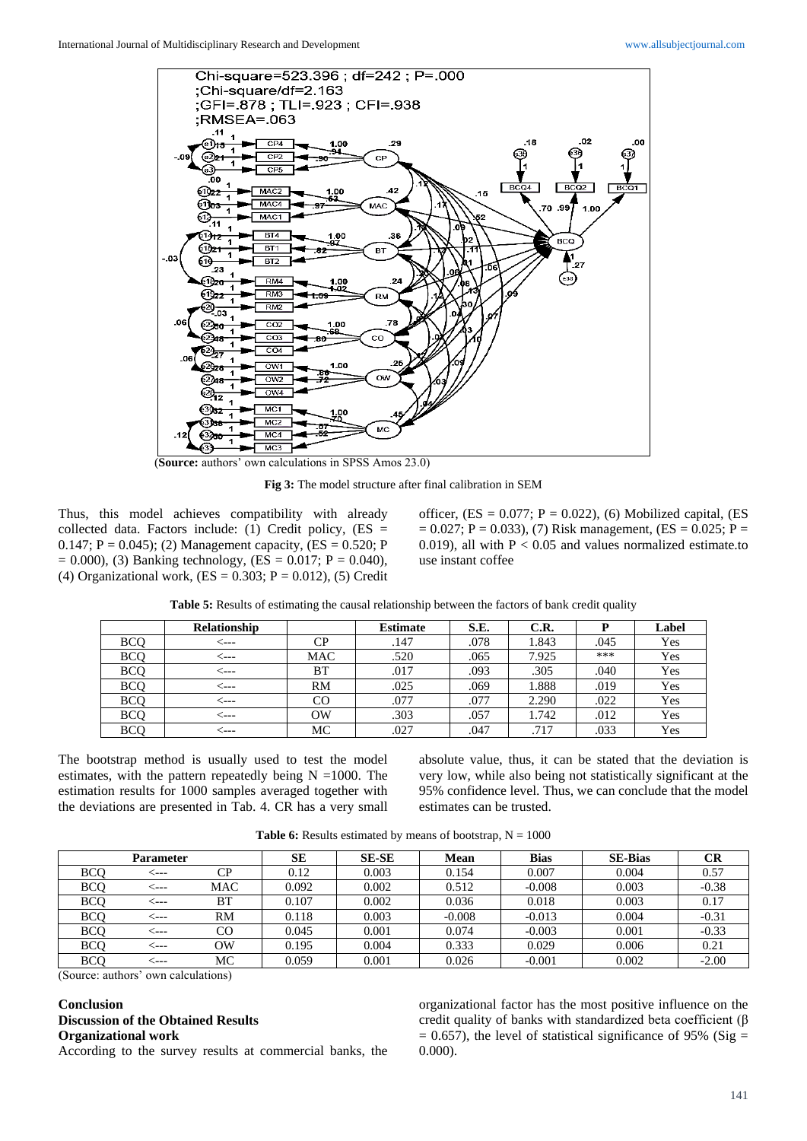

(**Source:** authors' own calculations in SPSS Amos 23.0)

**Fig 3:** The model structure after final calibration in SEM

Thus, this model achieves compatibility with already collected data. Factors include: (1) Credit policy,  $(ES =$ 0.147;  $P = 0.045$ ; (2) Management capacity, (ES = 0.520; P  $= 0.000$ , (3) Banking technology, (ES  $= 0.017$ ; P  $= 0.040$ ), (4) Organizational work,  $(ES = 0.303; P = 0.012)$ , (5) Credit officer,  $(ES = 0.077; P = 0.022)$ , (6) Mobilized capital,  $(ES)$  $= 0.027$ ; P = 0.033), (7) Risk management, (ES = 0.025; P = 0.019), all with  $P < 0.05$  and values normalized estimate.to use instant coffee

| Table 5: Results of estimating the causal relationship between the factors of bank credit quality |  |  |  |
|---------------------------------------------------------------------------------------------------|--|--|--|
|---------------------------------------------------------------------------------------------------|--|--|--|

|            | <b>Relationship</b> |             | <b>Estimate</b> | S.E. | C.R.  | D    | Label |
|------------|---------------------|-------------|-----------------|------|-------|------|-------|
| <b>BCO</b> | ----                | CP          | .147            | .078 | 1.843 | .045 | Yes   |
| <b>BCO</b> | <---                | <b>MAC</b>  | .520            | .065 | 7.925 | ***  | Yes   |
| <b>BCO</b> | <---                | ВT          | .017            | .093 | .305  | .040 | Yes   |
| <b>BCO</b> | <---                | <b>RM</b>   | .025            | .069 | 1.888 | .019 | Yes   |
| <b>BCO</b> | <---                | $_{\rm CO}$ | .077            | .077 | 2.290 | .022 | Yes   |
| <b>BCO</b> | <---                | OW          | .303            | .057 | 1.742 | .012 | Yes   |
| <b>BCO</b> | ⊂---                | МC          | .027            | .047 | .717  | .033 | Yes   |

The bootstrap method is usually used to test the model estimates, with the pattern repeatedly being  $N = 1000$ . The estimation results for 1000 samples averaged together with the deviations are presented in Tab. 4. CR has a very small absolute value, thus, it can be stated that the deviation is very low, while also being not statistically significant at the 95% confidence level. Thus, we can conclude that the model estimates can be trusted.

|            | <b>Parameter</b> |     | SЕ    | <b>SE-SE</b> | Mean     | <b>Bias</b> | <b>SE-Bias</b> | CR      |
|------------|------------------|-----|-------|--------------|----------|-------------|----------------|---------|
| <b>BCO</b> | <---             | CР  | 0.12  | 0.003        | 0.154    | 0.007       | 0.004          | 0.57    |
| <b>BCO</b> | ----             | MAC | 0.092 | 0.002        | 0.512    | $-0.008$    | 0.003          | $-0.38$ |
| <b>BCO</b> | ⊂---             | BT  | 0.107 | 0.002        | 0.036    | 0.018       | 0.003          | 0.17    |
| <b>BCO</b> |                  | RM  | 0.118 | 0.003        | $-0.008$ | $-0.013$    | 0.004          | $-0.31$ |
| <b>BCO</b> | ⊂---             | CO  | 0.045 | 0.001        | 0.074    | $-0.003$    | 0.001          | $-0.33$ |
| <b>BCO</b> | <---             | OW  | 0.195 | 0.004        | 0.333    | 0.029       | 0.006          | 0.21    |
| <b>BCO</b> | ⊂---             | МC  | 0.059 | 0.001        | 0.026    | $-0.001$    | 0.002          | $-2.00$ |

**Table 6:** Results estimated by means of bootstrap,  $N = 1000$ 

(Source: authors' own calculations)

# **Conclusion**

## **Discussion of the Obtained Results Organizational work**

According to the survey results at commercial banks, the

organizational factor has the most positive influence on the credit quality of banks with standardized beta coefficient (β  $= 0.657$ ), the level of statistical significance of 95% (Sig  $=$ 0.000).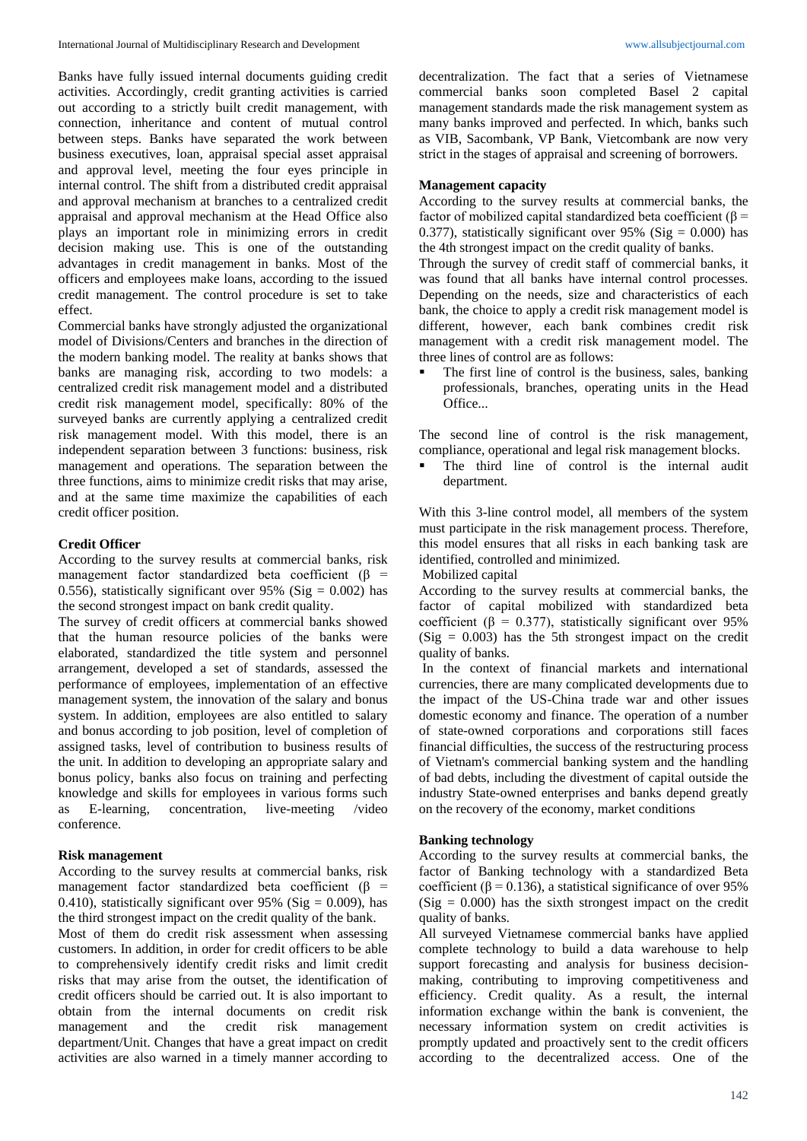Banks have fully issued internal documents guiding credit activities. Accordingly, credit granting activities is carried out according to a strictly built credit management, with connection, inheritance and content of mutual control between steps. Banks have separated the work between business executives, loan, appraisal special asset appraisal and approval level, meeting the four eyes principle in internal control. The shift from a distributed credit appraisal and approval mechanism at branches to a centralized credit appraisal and approval mechanism at the Head Office also plays an important role in minimizing errors in credit decision making use. This is one of the outstanding advantages in credit management in banks. Most of the officers and employees make loans, according to the issued credit management. The control procedure is set to take effect.

Commercial banks have strongly adjusted the organizational model of Divisions/Centers and branches in the direction of the modern banking model. The reality at banks shows that banks are managing risk, according to two models: a centralized credit risk management model and a distributed credit risk management model, specifically: 80% of the surveyed banks are currently applying a centralized credit risk management model. With this model, there is an independent separation between 3 functions: business, risk management and operations. The separation between the three functions, aims to minimize credit risks that may arise, and at the same time maximize the capabilities of each credit officer position.

## **Credit Officer**

According to the survey results at commercial banks, risk management factor standardized beta coefficient  $(β =$ 0.556), statistically significant over 95% (Sig =  $0.002$ ) has the second strongest impact on bank credit quality.

The survey of credit officers at commercial banks showed that the human resource policies of the banks were elaborated, standardized the title system and personnel arrangement, developed a set of standards, assessed the performance of employees, implementation of an effective management system, the innovation of the salary and bonus system. In addition, employees are also entitled to salary and bonus according to job position, level of completion of assigned tasks, level of contribution to business results of the unit. In addition to developing an appropriate salary and bonus policy, banks also focus on training and perfecting knowledge and skills for employees in various forms such as E-learning, concentration, live-meeting /video conference.

## **Risk management**

According to the survey results at commercial banks, risk management factor standardized beta coefficient ( $\beta$  = 0.410), statistically significant over 95% (Sig =  $0.009$ ), has the third strongest impact on the credit quality of the bank.

Most of them do credit risk assessment when assessing customers. In addition, in order for credit officers to be able to comprehensively identify credit risks and limit credit risks that may arise from the outset, the identification of credit officers should be carried out. It is also important to obtain from the internal documents on credit risk management and the credit risk management department/Unit. Changes that have a great impact on credit activities are also warned in a timely manner according to

decentralization. The fact that a series of Vietnamese commercial banks soon completed Basel 2 capital management standards made the risk management system as many banks improved and perfected. In which, banks such as VIB, Sacombank, VP Bank, Vietcombank are now very strict in the stages of appraisal and screening of borrowers.

# **Management capacity**

According to the survey results at commercial banks, the factor of mobilized capital standardized beta coefficient ( $\beta$  = 0.377), statistically significant over 95% (Sig =  $0.000$ ) has the 4th strongest impact on the credit quality of banks.

Through the survey of credit staff of commercial banks, it was found that all banks have internal control processes. Depending on the needs, size and characteristics of each bank, the choice to apply a credit risk management model is different, however, each bank combines credit risk management with a credit risk management model. The three lines of control are as follows:

 The first line of control is the business, sales, banking professionals, branches, operating units in the Head Office...

The second line of control is the risk management, compliance, operational and legal risk management blocks.

 The third line of control is the internal audit department.

With this 3-line control model, all members of the system must participate in the risk management process. Therefore, this model ensures that all risks in each banking task are identified, controlled and minimized.

Mobilized capital

According to the survey results at commercial banks, the factor of capital mobilized with standardized beta coefficient ( $\beta$  = 0.377), statistically significant over 95%  $(Sig = 0.003)$  has the 5th strongest impact on the credit quality of banks.

In the context of financial markets and international currencies, there are many complicated developments due to the impact of the US-China trade war and other issues domestic economy and finance. The operation of a number of state-owned corporations and corporations still faces financial difficulties, the success of the restructuring process of Vietnam's commercial banking system and the handling of bad debts, including the divestment of capital outside the industry State-owned enterprises and banks depend greatly on the recovery of the economy, market conditions

### **Banking technology**

According to the survey results at commercial banks, the factor of Banking technology with a standardized Beta coefficient ( $\beta$  = 0.136), a statistical significance of over 95%  $(Sig = 0.000)$  has the sixth strongest impact on the credit quality of banks.

All surveyed Vietnamese commercial banks have applied complete technology to build a data warehouse to help support forecasting and analysis for business decisionmaking, contributing to improving competitiveness and efficiency. Credit quality. As a result, the internal information exchange within the bank is convenient, the necessary information system on credit activities is promptly updated and proactively sent to the credit officers according to the decentralized access. One of the